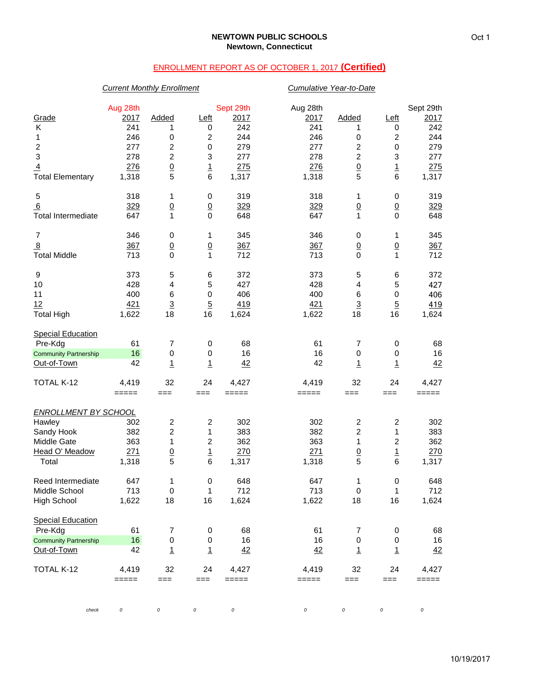# ENROLLMENT REPORT AS OF OCTOBER 1, 2017 **(Certified)**

## *Current Monthly Enrollment Cumulative Year-to-Date*

|                              | Aug 28th |                         |                         | Sept 29th | Aug 28th |                         |                         | Sept 29th |
|------------------------------|----------|-------------------------|-------------------------|-----------|----------|-------------------------|-------------------------|-----------|
| Grade                        | 2017     | Added                   | Left                    | 2017      | 2017     | Added                   | Left                    | 2017      |
| Κ                            | 241      | 1                       | 0                       | 242       | 241      | 1                       | 0                       | 242       |
| 1                            | 246      | 0                       | 2                       | 244       | 246      | 0                       | $\boldsymbol{2}$        | 244       |
| $\boldsymbol{2}$             | 277      | $\boldsymbol{2}$        | $\mathbf 0$             | 279       | 277      | $\boldsymbol{2}$        | $\mathbf 0$             | 279       |
| 3                            | 278      | $\boldsymbol{2}$        | 3                       | 277       | 278      | $\overline{c}$          | 3                       | 277       |
| $\overline{4}$               | 276      | $\underline{0}$         | $\overline{1}$          | 275       | 276      | $\underline{0}$         | $\frac{1}{6}$           | 275       |
| <b>Total Elementary</b>      | 1,318    | 5                       | 6                       | 1,317     | 1,318    | 5                       |                         | 1,317     |
| 5                            | 318      | 1                       | 0                       | 319       | 318      | 1                       | 0                       | 319       |
| 6                            | 329      | $\frac{0}{1}$           | $\frac{0}{0}$           | 329       | 329      | $\frac{0}{1}$           | $\frac{0}{0}$           | 329       |
| Total Intermediate           | 647      |                         |                         | 648       | 647      |                         |                         | 648       |
| 7                            | 346      | 0                       | 1                       | 345       | 346      | 0                       | 1                       | 345       |
| $\overline{8}$               | 367      | $\underline{0}$         | $\overline{0}$          | 367       | 367      | $\underline{0}$         | $\overline{0}$          | 367       |
| <b>Total Middle</b>          | 713      | $\mathbf 0$             | 1                       | 712       | 713      | $\mathbf 0$             | 1                       | 712       |
| 9                            | 373      | 5                       | 6                       | 372       | 373      | 5                       | 6                       | 372       |
| 10                           | 428      | 4                       | 5                       | 427       | 428      | $\overline{\mathbf{4}}$ | 5                       | 427       |
| 11                           | 400      | $\,6$                   | $\,0\,$                 | 406       | 400      | $\,6$                   | $\pmb{0}$               | 406       |
| 12                           | 421      | $\overline{3}$          | $\overline{5}$          | 419       | 421      | $\overline{3}$          | $\overline{5}$          | 419       |
| <b>Total High</b>            | 1,622    | 18                      | 16                      | 1,624     | 1,622    | 18                      | 16                      | 1,624     |
| <b>Special Education</b>     |          |                         |                         |           |          |                         |                         |           |
| Pre-Kdg                      | 61       | 7                       | 0                       | 68        | 61       | 7                       | 0                       | 68        |
| <b>Community Partnership</b> | 16       | $\pmb{0}$               | 0                       | 16        | 16       | $\pmb{0}$               | $\pmb{0}$               | 16        |
| Out-of-Town                  | 42       | $\overline{1}$          | $\overline{1}$          | 42        | 42       | $\overline{1}$          | $\overline{1}$          | 42        |
| TOTAL K-12                   | 4,419    | 32                      | 24                      | 4,427     | 4,419    | 32                      | 24                      | 4,427     |
|                              | $=====$  | $==$                    | $==$                    | $=====$   | =====    | $==$                    | ===                     | =====     |
| <b>ENROLLMENT BY SCHOOL</b>  |          |                         |                         |           |          |                         |                         |           |
| Hawley                       | 302      | $\overline{\mathbf{c}}$ | 2                       | 302       | 302      | $\overline{c}$          | $\overline{c}$          | 302       |
| Sandy Hook                   | 382      | $\overline{c}$          | $\mathbf{1}$            | 383       | 382      | $\overline{c}$          | $\mathbf{1}$            | 383       |
| Middle Gate                  | 363      | 1                       | $\overline{\mathbf{c}}$ | 362       | 363      | 1                       | $\overline{\mathbf{c}}$ | 362       |
| Head O' Meadow               | 271      | $\underline{0}$         | $\overline{1}$          | 270       | 271      | $\underline{0}$         | $\frac{1}{6}$           | 270       |
| Total                        | 1,318    | 5                       | 6                       | 1,317     | 1,318    | 5                       |                         | 1,317     |
| Reed Intermediate            | 647      | 1                       | 0                       | 648       | 647      | 1                       | 0                       | 648       |
| Middle School                | 713      | 0                       | 1                       | 712       | 713      | 0                       | 1                       | 712       |
| <b>High School</b>           | 1,622    | 18                      | 16                      | 1,624     | 1,622    | 18                      | 16                      | 1,624     |
| <b>Special Education</b>     |          |                         |                         |           |          |                         |                         |           |
| Pre-Kdg                      | 61       | 7                       | 0                       | 68        | 61       | 7                       | 0                       | 68        |
| <b>Community Partnership</b> | 16       | $\pmb{0}$               | 0                       | 16        | 16       | $\pmb{0}$               | $\pmb{0}$               | 16        |
| Out-of-Town                  | 42       | $\overline{1}$          | $\overline{1}$          | 42        | 42       | $\overline{1}$          | $\overline{1}$          | 42        |
| TOTAL K-12                   | 4,419    | 32                      | 24                      | 4,427     | 4,419    | 32                      | 24                      | 4,427     |
|                              | $=====$  | $==$                    | ===                     | $=====$   | =====    | $==$                    | ===                     | =====     |
|                              |          |                         |                         |           |          |                         |                         |           |
| check                        | 0        | 0                       | $\cal O$                | $\cal O$  | $\cal O$ | $\cal O$                | 0                       | 0         |